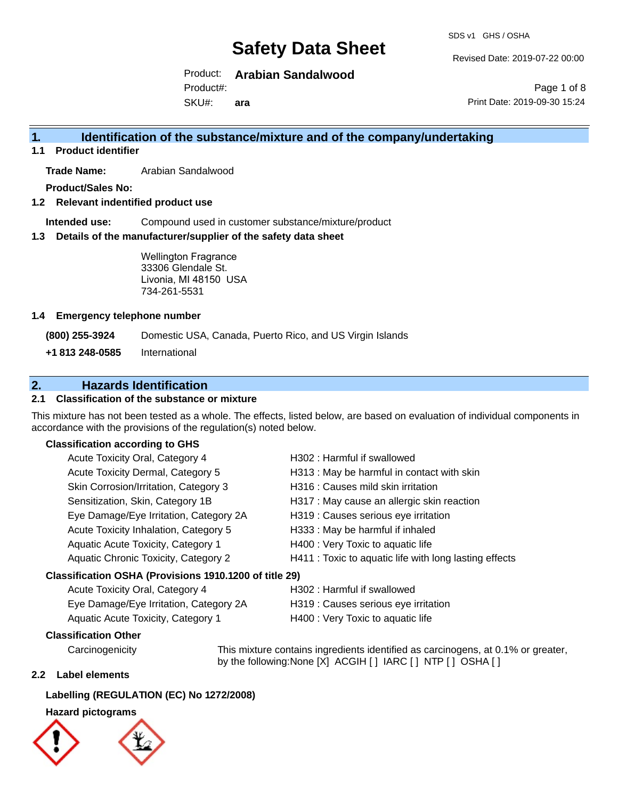Revised Date: 2019-07-22 00:00

Print Date: 2019-09-30 15:24

Page 1 of 8

Product: **Arabian Sandalwood** Product#:

SKU#: **ara**

# **1. Identification of the substance/mixture and of the company/undertaking**

#### **1.1 Product identifier**

**Trade Name:** Arabian Sandalwood

**Product/Sales No:**

#### **1.2 Relevant indentified product use**

**Intended use:** Compound used in customer substance/mixture/product

#### **1.3 Details of the manufacturer/supplier of the safety data sheet**

Wellington Fragrance 33306 Glendale St. Livonia, MI 48150 USA 734-261-5531

#### **1.4 Emergency telephone number**

**(800) 255-3924** Domestic USA, Canada, Puerto Rico, and US Virgin Islands

**+1 813 248-0585** International

### **2. Hazards Identification**

#### **2.1 Classification of the substance or mixture**

This mixture has not been tested as a whole. The effects, listed below, are based on evaluation of individual components in accordance with the provisions of the regulation(s) noted below.

#### **Classification according to GHS**

| Acute Toxicity Oral, Category 4                        | H302: Harmful if swallowed                             |
|--------------------------------------------------------|--------------------------------------------------------|
| Acute Toxicity Dermal, Category 5                      | H313 : May be harmful in contact with skin             |
| Skin Corrosion/Irritation, Category 3                  | H316 : Causes mild skin irritation                     |
| Sensitization, Skin, Category 1B                       | H317 : May cause an allergic skin reaction             |
| Eye Damage/Eye Irritation, Category 2A                 | H319 : Causes serious eye irritation                   |
| Acute Toxicity Inhalation, Category 5                  | H333: May be harmful if inhaled                        |
| Aquatic Acute Toxicity, Category 1                     | H400 : Very Toxic to aquatic life                      |
| Aquatic Chronic Toxicity, Category 2                   | H411 : Toxic to aquatic life with long lasting effects |
| Classification OSHA (Provisions 1910.1200 of title 29) |                                                        |
|                                                        |                                                        |

#### Acute Toxicity Oral, Category 4 H302 : Harmful if swallowed Eye Damage/Eye Irritation, Category 2A H319 : Causes serious eye irritation Aquatic Acute Toxicity, Category 1 H400 : Very Toxic to aquatic life

#### **Classification Other**

by the following:None [X] ACGIH [ ] IARC [ ] NTP [ ] OSHA [ ]

#### **2.2 Label elements**

#### **Labelling (REGULATION (EC) No 1272/2008)**

#### **Hazard pictograms**



Carcinogenicity This mixture contains ingredients identified as carcinogens, at 0.1% or greater,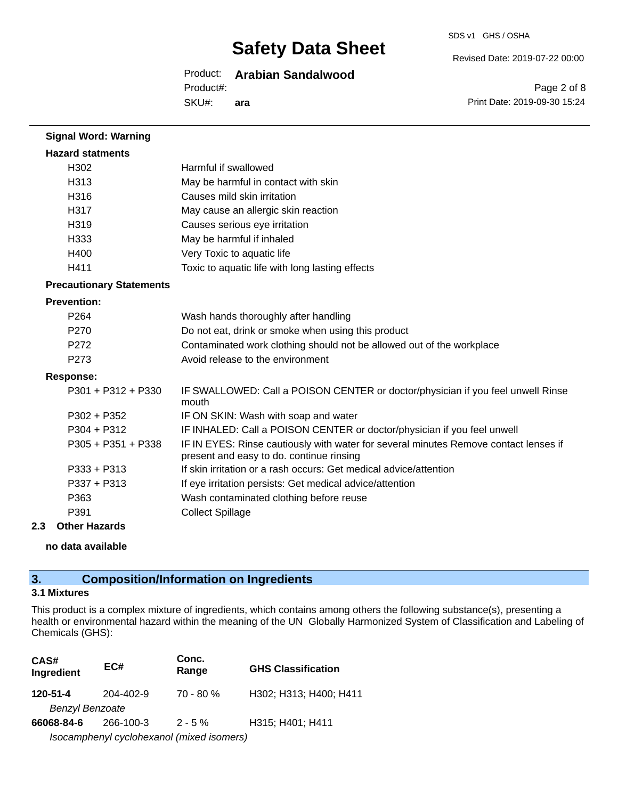#### Product: **Arabian Sandalwood**

SKU#: Product#: **ara** Revised Date: 2019-07-22 00:00

SDS v1 GHS / OSHA

Page 2 of 8 Print Date: 2019-09-30 15:24

| <b>Signal Word: Warning</b>     |                                                                                                                                  |
|---------------------------------|----------------------------------------------------------------------------------------------------------------------------------|
| <b>Hazard statments</b>         |                                                                                                                                  |
| H <sub>302</sub>                | Harmful if swallowed                                                                                                             |
| H313                            | May be harmful in contact with skin                                                                                              |
| H316                            | Causes mild skin irritation                                                                                                      |
| H317                            | May cause an allergic skin reaction                                                                                              |
| H319                            | Causes serious eye irritation                                                                                                    |
| H <sub>333</sub>                | May be harmful if inhaled                                                                                                        |
| H400                            | Very Toxic to aquatic life                                                                                                       |
| H411                            | Toxic to aquatic life with long lasting effects                                                                                  |
| <b>Precautionary Statements</b> |                                                                                                                                  |
| <b>Prevention:</b>              |                                                                                                                                  |
| P <sub>264</sub>                | Wash hands thoroughly after handling                                                                                             |
| P <sub>270</sub>                | Do not eat, drink or smoke when using this product                                                                               |
| P272                            | Contaminated work clothing should not be allowed out of the workplace                                                            |
| P <sub>273</sub>                | Avoid release to the environment                                                                                                 |
| <b>Response:</b>                |                                                                                                                                  |
| P301 + P312 + P330              | IF SWALLOWED: Call a POISON CENTER or doctor/physician if you feel unwell Rinse<br>mouth                                         |
| P302 + P352                     | IF ON SKIN: Wash with soap and water                                                                                             |
| $P304 + P312$                   | IF INHALED: Call a POISON CENTER or doctor/physician if you feel unwell                                                          |
| $P305 + P351 + P338$            | IF IN EYES: Rinse cautiously with water for several minutes Remove contact lenses if<br>present and easy to do. continue rinsing |
| $P333 + P313$                   | If skin irritation or a rash occurs: Get medical advice/attention                                                                |
| P337 + P313                     | If eye irritation persists: Get medical advice/attention                                                                         |
| P363                            | Wash contaminated clothing before reuse                                                                                          |
| P391                            | <b>Collect Spillage</b>                                                                                                          |
| <b>Other Hazards</b><br>2.3     |                                                                                                                                  |

#### **no data available**

### **3. Composition/Information on Ingredients**

#### **3.1 Mixtures**

This product is a complex mixture of ingredients, which contains among others the following substance(s), presenting a health or environmental hazard within the meaning of the UN Globally Harmonized System of Classification and Labeling of Chemicals (GHS):

| CAS#<br>Ingredient     | EC#       | Conc.<br>Range                            | <b>GHS Classification</b> |
|------------------------|-----------|-------------------------------------------|---------------------------|
| 120-51-4               | 204-402-9 | $70 - 80 \%$                              | H302; H313; H400; H411    |
| <b>Benzyl Benzoate</b> |           |                                           |                           |
| 66068-84-6             | 266-100-3 | $2 - 5%$                                  | H315; H401; H411          |
|                        |           | Isocamphenyl cyclohexanol (mixed isomers) |                           |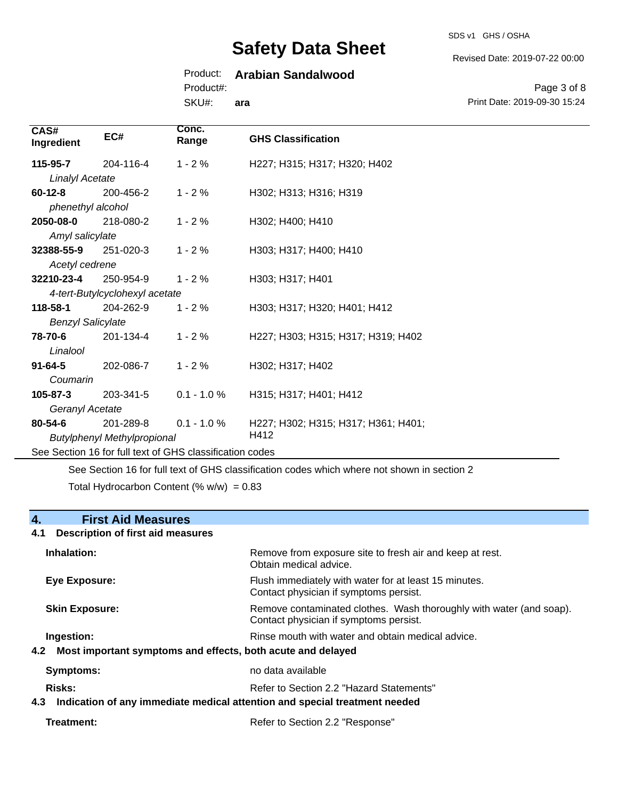SDS v1 GHS / OSHA

Revised Date: 2019-07-22 00:00

#### Product: **Arabian Sandalwood**

Product#:

SKU#: **ara**

Page 3 of 8 Print Date: 2019-09-30 15:24

| CAS#<br>Ingredient                                       | EC#                            | Conc.<br>Range | <b>GHS Classification</b>           |  |  |
|----------------------------------------------------------|--------------------------------|----------------|-------------------------------------|--|--|
| 115-95-7                                                 | 204-116-4                      | $1 - 2%$       | H227; H315; H317; H320; H402        |  |  |
| <b>Linalyl Acetate</b>                                   |                                |                |                                     |  |  |
| $60 - 12 - 8$                                            | 200-456-2                      | $1 - 2%$       | H302; H313; H316; H319              |  |  |
| phenethyl alcohol                                        |                                |                |                                     |  |  |
| 2050-08-0                                                | 218-080-2                      | $1 - 2%$       | H302; H400; H410                    |  |  |
| Amyl salicylate                                          |                                |                |                                     |  |  |
| 32388-55-9                                               | 251-020-3                      | $1 - 2%$       | H303; H317; H400; H410              |  |  |
| Acetyl cedrene                                           |                                |                |                                     |  |  |
| 32210-23-4                                               | 250-954-9                      | $1 - 2%$       | H303; H317; H401                    |  |  |
|                                                          | 4-tert-Butylcyclohexyl acetate |                |                                     |  |  |
| 118-58-1                                                 | 204-262-9                      | $1 - 2%$       | H303; H317; H320; H401; H412        |  |  |
| <b>Benzyl Salicylate</b>                                 |                                |                |                                     |  |  |
| 78-70-6                                                  | 201-134-4                      | $1 - 2%$       | H227; H303; H315; H317; H319; H402  |  |  |
| Linalool                                                 |                                |                |                                     |  |  |
| $91 - 64 - 5$                                            | 202-086-7                      | $1 - 2%$       | H302; H317; H402                    |  |  |
| Coumarin                                                 |                                |                |                                     |  |  |
| 105-87-3                                                 | 203-341-5                      | $0.1 - 1.0 %$  | H315; H317; H401; H412              |  |  |
| Geranyl Acetate                                          |                                |                |                                     |  |  |
| 80-54-6                                                  | 201-289-8                      | $0.1 - 1.0 %$  | H227; H302; H315; H317; H361; H401; |  |  |
| <b>Butylphenyl Methylpropional</b>                       |                                |                | H412                                |  |  |
| See Section 16 for full text of GHS classification codes |                                |                |                                     |  |  |

See Section 16 for full text of GHS classification codes which where not shown in section 2

Total Hydrocarbon Content (%  $w/w$ ) = 0.83

#### **4. First Aid Measures**

### **4.1 Description of first aid measures Inhalation:** Remove from exposure site to fresh air and keep at rest. Obtain medical advice. **Eye Exposure:** FIUSh immediately with water for at least 15 minutes. Contact physician if symptoms persist. **Skin Exposure: Remove contaminated clothes. Wash thoroughly with water (and soap).** Remove contaminated clothes. Wash thoroughly with water (and soap). Contact physician if symptoms persist. **Ingestion: Rinse mouth with water and obtain medical advice. In all of the state of the Rinse mouth with water and obtain medical advice. 4.2 Most important symptoms and effects, both acute and delayed Symptoms:** no data available Risks: **Risks:** Refer to Section 2.2 "Hazard Statements" **4.3 Indication of any immediate medical attention and special treatment needed**

**Treatment:** Refer to Section 2.2 "Response"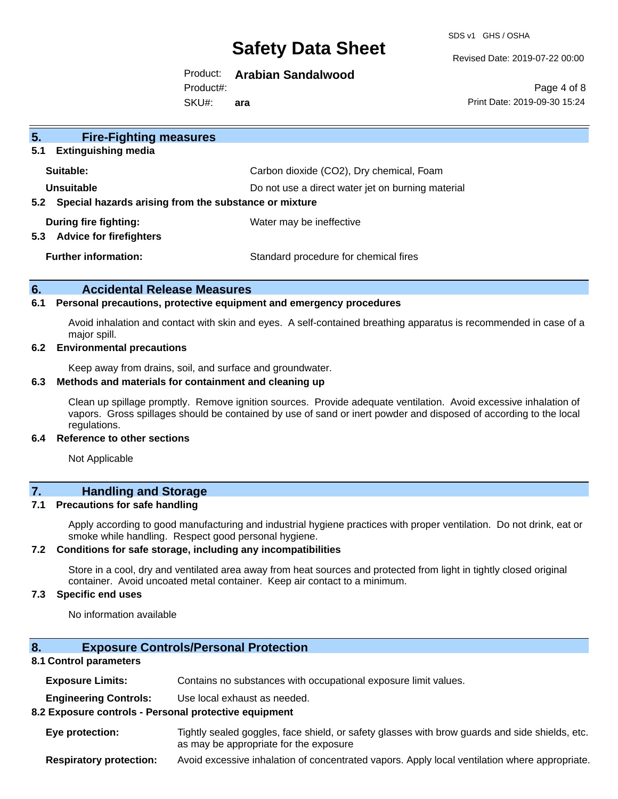SDS v1 GHS / OSHA

Revised Date: 2019-07-22 00:00

#### Product: **Arabian Sandalwood**

Product#:

SKU#: **ara**

Page 4 of 8 Print Date: 2019-09-30 15:24

| 5.<br><b>Fire-Fighting measures</b>                                    |                                                   |  |
|------------------------------------------------------------------------|---------------------------------------------------|--|
| <b>Extinguishing media</b><br>5.1                                      |                                                   |  |
| Suitable:                                                              | Carbon dioxide (CO2), Dry chemical, Foam          |  |
| Unsuitable                                                             | Do not use a direct water jet on burning material |  |
| Special hazards arising from the substance or mixture<br>$5.2^{\circ}$ |                                                   |  |
| During fire fighting:<br><b>Advice for firefighters</b><br>5.3         | Water may be ineffective                          |  |
| <b>Further information:</b>                                            | Standard procedure for chemical fires             |  |

#### **6. Accidental Release Measures**

#### **6.1 Personal precautions, protective equipment and emergency procedures**

Avoid inhalation and contact with skin and eyes. A self-contained breathing apparatus is recommended in case of a major spill.

#### **6.2 Environmental precautions**

Keep away from drains, soil, and surface and groundwater.

#### **6.3 Methods and materials for containment and cleaning up**

Clean up spillage promptly. Remove ignition sources. Provide adequate ventilation. Avoid excessive inhalation of vapors. Gross spillages should be contained by use of sand or inert powder and disposed of according to the local regulations.

#### **6.4 Reference to other sections**

Not Applicable

### **7. Handling and Storage**

#### **7.1 Precautions for safe handling**

Apply according to good manufacturing and industrial hygiene practices with proper ventilation. Do not drink, eat or smoke while handling. Respect good personal hygiene.

#### **7.2 Conditions for safe storage, including any incompatibilities**

Store in a cool, dry and ventilated area away from heat sources and protected from light in tightly closed original container. Avoid uncoated metal container. Keep air contact to a minimum.

#### **7.3 Specific end uses**

No information available

#### **8. Exposure Controls/Personal Protection**

#### **8.1 Control parameters**

**Exposure Limits:** Contains no substances with occupational exposure limit values.

**Engineering Controls:** Use local exhaust as needed.

#### **8.2 Exposure controls - Personal protective equipment**

**Eye protection:** Tightly sealed goggles, face shield, or safety glasses with brow guards and side shields, etc. as may be appropriate for the exposure

**Respiratory protection:** Avoid excessive inhalation of concentrated vapors. Apply local ventilation where appropriate.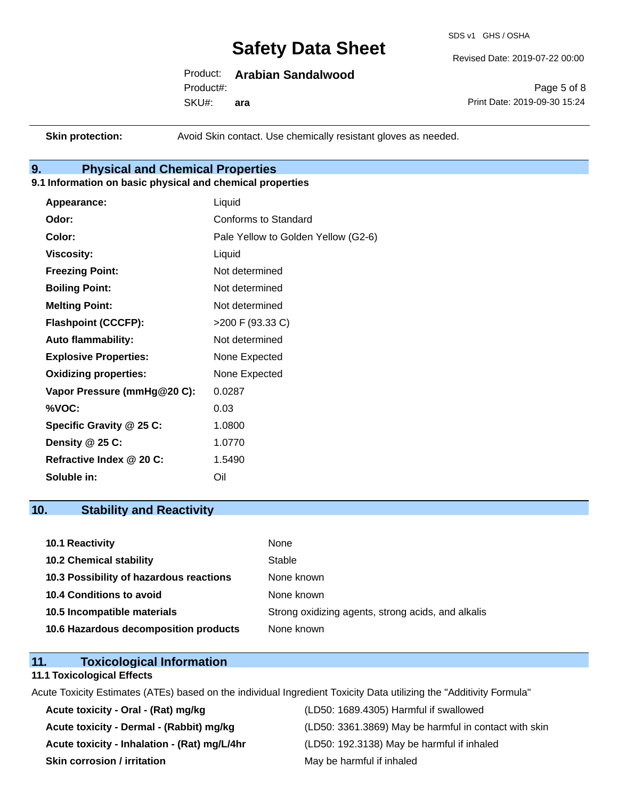SDS v1 GHS / OSHA

Revised Date: 2019-07-22 00:00

### Product: **Arabian Sandalwood**

SKU#: Product#: **ara**

Page 5 of 8 Print Date: 2019-09-30 15:24

**Skin protection:** Avoid Skin contact. Use chemically resistant gloves as needed.

### **9. Physical and Chemical Properties**

#### **9.1 Information on basic physical and chemical properties**

| Appearance:                  | Liquid                              |
|------------------------------|-------------------------------------|
| Odor:                        | <b>Conforms to Standard</b>         |
| Color:                       | Pale Yellow to Golden Yellow (G2-6) |
| <b>Viscosity:</b>            | Liquid                              |
| <b>Freezing Point:</b>       | Not determined                      |
| <b>Boiling Point:</b>        | Not determined                      |
| <b>Melting Point:</b>        | Not determined                      |
| <b>Flashpoint (CCCFP):</b>   | >200 F (93.33 C)                    |
| <b>Auto flammability:</b>    | Not determined                      |
| <b>Explosive Properties:</b> | None Expected                       |
| <b>Oxidizing properties:</b> | None Expected                       |
| Vapor Pressure (mmHg@20 C):  | 0.0287                              |
| %VOC:                        | 0.03                                |
| Specific Gravity @ 25 C:     | 1.0800                              |
| Density @ 25 C:              | 1.0770                              |
| Refractive Index @ 20 C:     | 1.5490                              |
| Soluble in:                  | Oil                                 |

### **10. Stability and Reactivity**

| <b>10.1 Reactivity</b>                  | None                                               |
|-----------------------------------------|----------------------------------------------------|
| <b>10.2 Chemical stability</b>          | Stable                                             |
| 10.3 Possibility of hazardous reactions | None known                                         |
| 10.4 Conditions to avoid                | None known                                         |
| 10.5 Incompatible materials             | Strong oxidizing agents, strong acids, and alkalis |
| 10.6 Hazardous decomposition products   | None known                                         |

### **11. Toxicological Information**

#### **11.1 Toxicological Effects**

Acute Toxicity Estimates (ATEs) based on the individual Ingredient Toxicity Data utilizing the "Additivity Formula"

**Acute toxicity - Oral - (Rat) mg/kg** (LD50: 1689.4305) Harmful if swallowed **Acute toxicity - Inhalation - (Rat) mg/L/4hr** (LD50: 192.3138) May be harmful if inhaled **Skin corrosion / irritation** May be harmful if inhaled

Acute toxicity - Dermal - (Rabbit) mg/kg <br>
(LD50: 3361.3869) May be harmful in contact with skin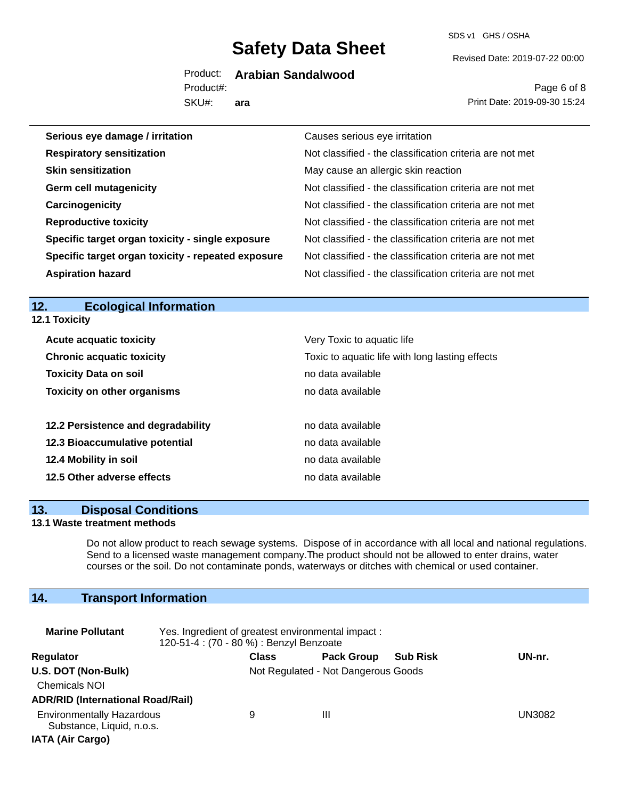SDS v1 GHS / OSHA

Revised Date: 2019-07-22 00:00

Product: **Arabian Sandalwood**

SKU#: Product#: **ara**

Page 6 of 8 Print Date: 2019-09-30 15:24

| Serious eye damage / irritation                    | Causes serious eye irritation                            |
|----------------------------------------------------|----------------------------------------------------------|
| <b>Respiratory sensitization</b>                   | Not classified - the classification criteria are not met |
| <b>Skin sensitization</b>                          | May cause an allergic skin reaction                      |
| <b>Germ cell mutagenicity</b>                      | Not classified - the classification criteria are not met |
| Carcinogenicity                                    | Not classified - the classification criteria are not met |
| <b>Reproductive toxicity</b>                       | Not classified - the classification criteria are not met |
| Specific target organ toxicity - single exposure   | Not classified - the classification criteria are not met |
| Specific target organ toxicity - repeated exposure | Not classified - the classification criteria are not met |
| <b>Aspiration hazard</b>                           | Not classified - the classification criteria are not met |

#### **12. Ecological Information 12.1 Toxicity**

|                       | <b>Acute acquatic toxicity</b>     | Very Toxic to aquatic life                      |
|-----------------------|------------------------------------|-------------------------------------------------|
|                       | <b>Chronic acquatic toxicity</b>   | Toxic to aquatic life with long lasting effects |
|                       | <b>Toxicity Data on soil</b>       | no data available                               |
|                       | <b>Toxicity on other organisms</b> | no data available                               |
|                       |                                    |                                                 |
|                       | 12.2 Persistence and degradability | no data available                               |
|                       | 12.3 Bioaccumulative potential     | no data available                               |
| 12.4 Mobility in soil |                                    | no data available                               |
|                       | 12.5 Other adverse effects         | no data available                               |

#### **13. Disposal Conditions**

#### **13.1 Waste treatment methods**

Do not allow product to reach sewage systems. Dispose of in accordance with all local and national regulations. Send to a licensed waste management company.The product should not be allowed to enter drains, water courses or the soil. Do not contaminate ponds, waterways or ditches with chemical or used container.

### **14. Transport Information**

| <b>Marine Pollutant</b>                                                                  | Yes. Ingredient of greatest environmental impact:<br>120-51-4 : (70 - 80 %) : Benzyl Benzoate |                                     |                   |                 |        |
|------------------------------------------------------------------------------------------|-----------------------------------------------------------------------------------------------|-------------------------------------|-------------------|-----------------|--------|
| Regulator                                                                                |                                                                                               | <b>Class</b>                        | <b>Pack Group</b> | <b>Sub Risk</b> | UN-nr. |
| U.S. DOT (Non-Bulk)<br><b>Chemicals NOI</b><br><b>ADR/RID (International Road/Rail)</b>  |                                                                                               | Not Regulated - Not Dangerous Goods |                   |                 |        |
| <b>Environmentally Hazardous</b><br>Substance, Liquid, n.o.s.<br><b>IATA (Air Cargo)</b> |                                                                                               | 9                                   | Ш                 |                 | UN3082 |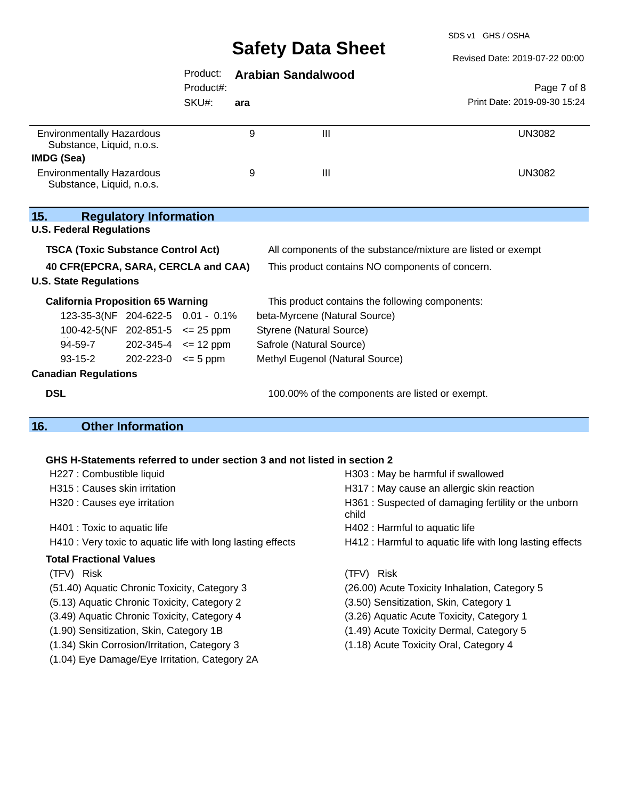SDS v1 GHS / OSHA

|                                                                          | Sarety Data Sheet               |                                                              | Revised Date: 2019-07-22 00:00                           |
|--------------------------------------------------------------------------|---------------------------------|--------------------------------------------------------------|----------------------------------------------------------|
| Product:                                                                 | <b>Arabian Sandalwood</b>       |                                                              |                                                          |
| Product#:                                                                |                                 |                                                              | Page 7 of 8                                              |
| SKU#:                                                                    | ara                             |                                                              | Print Date: 2019-09-30 15:24                             |
| <b>Environmentally Hazardous</b>                                         | 9                               | $\mathbf{III}$                                               | <b>UN3082</b>                                            |
| Substance, Liquid, n.o.s.<br><b>IMDG (Sea)</b>                           |                                 |                                                              |                                                          |
| <b>Environmentally Hazardous</b><br>Substance, Liquid, n.o.s.            | 9                               | $\mathbf{III}$                                               | <b>UN3082</b>                                            |
| 15.<br><b>Regulatory Information</b><br><b>U.S. Federal Regulations</b>  |                                 |                                                              |                                                          |
| <b>TSCA (Toxic Substance Control Act)</b>                                |                                 | All components of the substance/mixture are listed or exempt |                                                          |
| 40 CFR(EPCRA, SARA, CERCLA and CAA)                                      |                                 | This product contains NO components of concern.              |                                                          |
| <b>U.S. State Regulations</b>                                            |                                 |                                                              |                                                          |
| <b>California Proposition 65 Warning</b>                                 |                                 | This product contains the following components:              |                                                          |
| 123-35-3(NF 204-622-5 0.01 - 0.1%                                        |                                 | beta-Myrcene (Natural Source)                                |                                                          |
| 100-42-5(NF 202-851-5 $\leq$ 25 ppm                                      | <b>Styrene (Natural Source)</b> |                                                              |                                                          |
| 94-59-7<br>$202 - 345 - 4 \leq 12$ ppm                                   | Safrole (Natural Source)        |                                                              |                                                          |
| $93 - 15 - 2$<br>$202 - 223 - 0 \le 5$ ppm                               |                                 | Methyl Eugenol (Natural Source)                              |                                                          |
| <b>Canadian Regulations</b>                                              |                                 |                                                              |                                                          |
| <b>DSL</b>                                                               |                                 | 100.00% of the components are listed or exempt.              |                                                          |
| <b>Other Information</b><br>16.                                          |                                 |                                                              |                                                          |
|                                                                          |                                 |                                                              |                                                          |
| GHS H-Statements referred to under section 3 and not listed in section 2 |                                 |                                                              |                                                          |
| H227 : Combustible liquid                                                |                                 | H303 : May be harmful if swallowed                           |                                                          |
| H315 : Causes skin irritation                                            |                                 | H317 : May cause an allergic skin reaction                   |                                                          |
| H320 : Causes eye irritation                                             |                                 | child                                                        | H361 : Suspected of damaging fertility or the unborn     |
| H401 : Toxic to aquatic life                                             |                                 | H402 : Harmful to aquatic life                               |                                                          |
| H410 : Very toxic to aquatic life with long lasting effects              |                                 |                                                              | H412 : Harmful to aquatic life with long lasting effects |
| <b>Total Fractional Values</b>                                           |                                 |                                                              |                                                          |
| (TFV) Risk                                                               |                                 | (TFV) Risk                                                   |                                                          |
| (51.40) Aquatic Chronic Toxicity, Category 3                             |                                 | (26.00) Acute Toxicity Inhalation, Category 5                |                                                          |
| (5.13) Aquatic Chronic Toxicity, Category 2                              |                                 | (3.50) Sensitization, Skin, Category 1                       |                                                          |

- 
- (1.90) Sensitization, Skin, Category 1B (1.49) Acute Toxicity Dermal, Category 5
- (1.34) Skin Corrosion/Irritation, Category 3 (1.18) Acute Toxicity Oral, Category 4
- (1.04) Eye Damage/Eye Irritation, Category 2A
- 
- (3.49) Aquatic Chronic Toxicity, Category 4 (3.26) Aquatic Acute Toxicity, Category 1
	-
	-